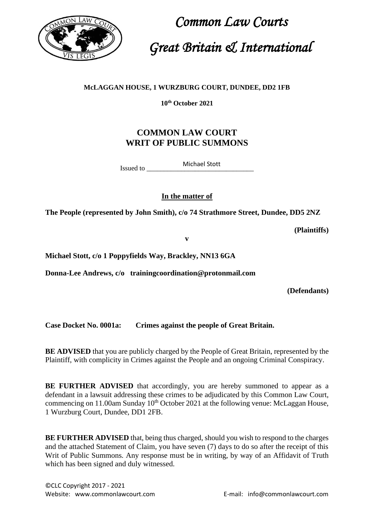

 *Common Law Courts Great Britain & International*

## **McLAGGAN HOUSE, 1 WURZBURG COURT, DUNDEE, DD2 1FB**

**10th October 2021**

## **COMMON LAW COURT WRIT OF PUBLIC SUMMONS**

Issued to Michael Stott

**In the matter of**

**The People (represented by John Smith), c/o 74 Strathmore Street, Dundee, DD5 2NZ**

**(Plaintiffs)**

**v** 

**Michael Stott, c/o 1 Poppyfields Way, Brackley, NN13 6GA**

**Donna-Lee Andrews, c/o trainingcoordination@protonmail.com**

**(Defendants)**

**Case Docket No. 0001a: Crimes against the people of Great Britain.**

**BE ADVISED** that you are publicly charged by the People of Great Britain, represented by the Plaintiff, with complicity in Crimes against the People and an ongoing Criminal Conspiracy.

**BE FURTHER ADVISED** that accordingly, you are hereby summoned to appear as a defendant in a lawsuit addressing these crimes to be adjudicated by this Common Law Court, commencing on 11.00am Sunday  $10<sup>th</sup>$  October 2021 at the following venue: McLaggan House, 1 Wurzburg Court, Dundee, DD1 2FB.

**BE FURTHER ADVISED** that, being thus charged, should you wish to respond to the charges and the attached Statement of Claim, you have seven (7) days to do so after the receipt of this Writ of Public Summons. Any response must be in writing, by way of an Affidavit of Truth which has been signed and duly witnessed.